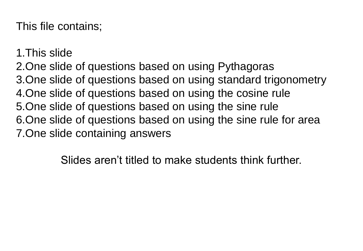This file contains;

1.This slide 2.One slide of questions based on using Pythagoras 3.One slide of questions based on using standard trigonometry 4.One slide of questions based on using the cosine rule 5.One slide of questions based on using the sine rule 6.One slide of questions based on using the sine rule for area 7.One slide containing answers

Slides aren't titled to make students think further.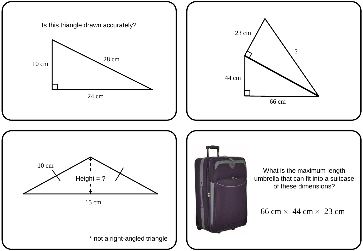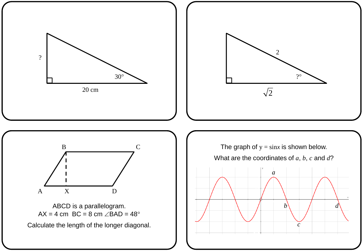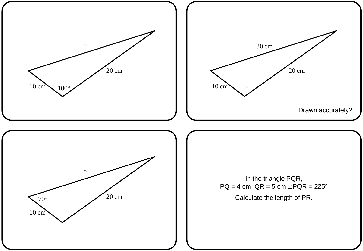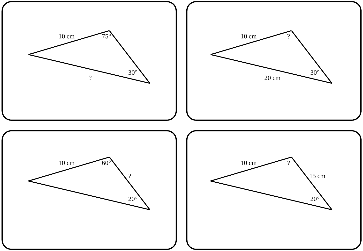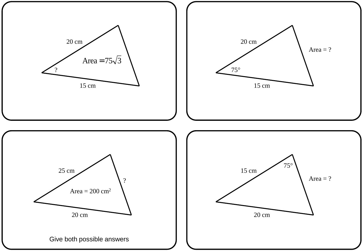